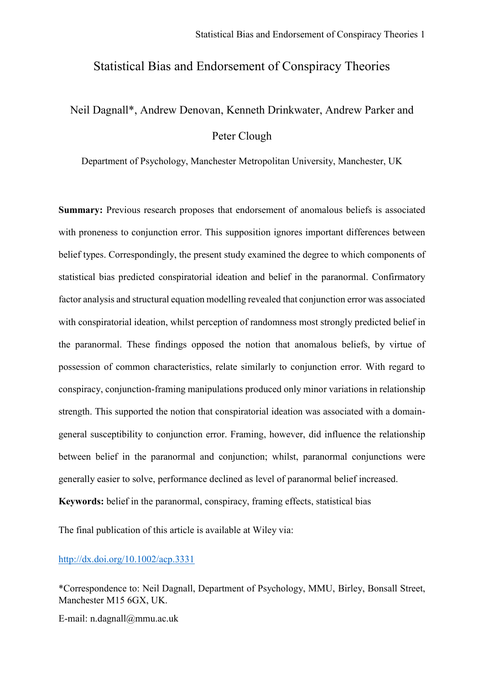## Statistical Bias and Endorsement of Conspiracy Theories

# Neil Dagnall\*, Andrew Denovan, Kenneth Drinkwater, Andrew Parker and Peter Clough

Department of Psychology, Manchester Metropolitan University, Manchester, UK

**Summary:** Previous research proposes that endorsement of anomalous beliefs is associated with proneness to conjunction error. This supposition ignores important differences between belief types. Correspondingly, the present study examined the degree to which components of statistical bias predicted conspiratorial ideation and belief in the paranormal. Confirmatory factor analysis and structural equation modelling revealed that conjunction error was associated with conspiratorial ideation, whilst perception of randomness most strongly predicted belief in the paranormal. These findings opposed the notion that anomalous beliefs, by virtue of possession of common characteristics, relate similarly to conjunction error. With regard to conspiracy, conjunction-framing manipulations produced only minor variations in relationship strength. This supported the notion that conspiratorial ideation was associated with a domaingeneral susceptibility to conjunction error. Framing, however, did influence the relationship between belief in the paranormal and conjunction; whilst, paranormal conjunctions were generally easier to solve, performance declined as level of paranormal belief increased. **Keywords:** belief in the paranormal, conspiracy, framing effects, statistical bias

The final publication of this article is available at Wiley via:

<http://dx.doi.org/10.1002/acp.3331>

\*Correspondence to: Neil Dagnall, Department of Psychology, MMU, Birley, Bonsall Street, Manchester M15 6GX, UK.

E-mail: n.dagnall@mmu.ac.uk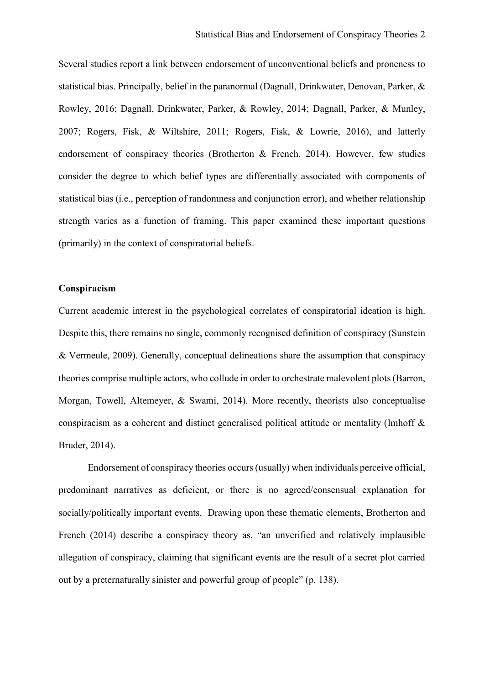Several studies report a link between endorsement of unconventional beliefs and proneness to statistical bias. Principally, belief in the paranormal (Dagnall, Drinkwater, Denovan, Parker, & Rowley, 2016; Dagnall, Drinkwater, Parker, & Rowley, 2014; Dagnall, Parker, & Munley, 2007; Rogers, Fisk, & Wiltshire, 2011; Rogers, Fisk, & Lowrie, 2016), and latterly endorsement of conspiracy theories (Brotherton & French, 2014). However, few studies consider the degree to which belief types are differentially associated with components of statistical bias (i.e., perception of randomness and conjunction error), and whether relationship strength varies as a function of framing. This paper examined these important questions (primarily) in the context of conspiratorial beliefs.

## **Conspiracism**

Current academic interest in the psychological correlates of conspiratorial ideation is high. Despite this, there remains no single, commonly recognised definition of conspiracy (Sunstein & Vermeule, 2009). Generally, conceptual delineations share the assumption that conspiracy theories comprise multiple actors, who collude in order to orchestrate malevolent plots(Barron, Morgan, Towell, Altemeyer, & Swami, 2014). More recently, theorists also conceptualise conspiracism as a coherent and distinct generalised political attitude or mentality (Imhoff & Bruder, 2014).

Endorsement of conspiracy theories occurs (usually) when individuals perceive official, predominant narratives as deficient, or there is no agreed/consensual explanation for socially/politically important events. Drawing upon these thematic elements, Brotherton and French (2014) describe a conspiracy theory as, "an unverified and relatively implausible allegation of conspiracy, claiming that significant events are the result of a secret plot carried out by a preternaturally sinister and powerful group of people" (p. 138).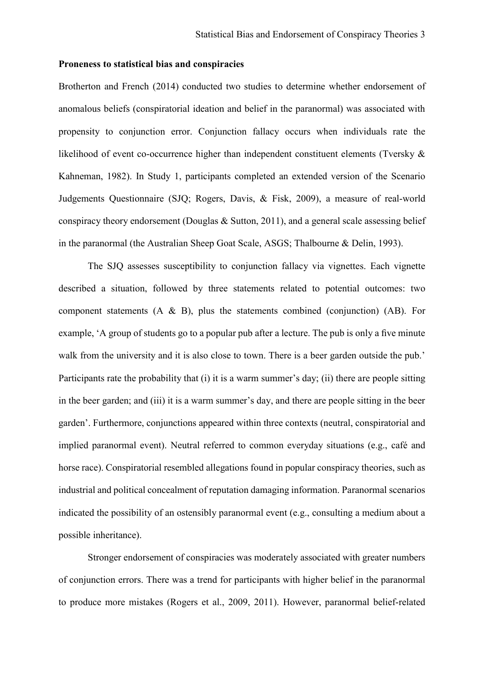## **Proneness to statistical bias and conspiracies**

Brotherton and French (2014) conducted two studies to determine whether endorsement of anomalous beliefs (conspiratorial ideation and belief in the paranormal) was associated with propensity to conjunction error. Conjunction fallacy occurs when individuals rate the likelihood of event co-occurrence higher than independent constituent elements (Tversky & Kahneman, 1982). In Study 1, participants completed an extended version of the Scenario Judgements Questionnaire (SJQ; Rogers, Davis, & Fisk, 2009), a measure of real-world conspiracy theory endorsement (Douglas  $&$  Sutton, 2011), and a general scale assessing belief in the paranormal (the Australian Sheep Goat Scale, ASGS; Thalbourne & Delin, 1993).

The SJQ assesses susceptibility to conjunction fallacy via vignettes. Each vignette described a situation, followed by three statements related to potential outcomes: two component statements (A & B), plus the statements combined (conjunction) (AB). For example, 'A group of students go to a popular pub after a lecture. The pub is only a five minute walk from the university and it is also close to town. There is a beer garden outside the pub.' Participants rate the probability that (i) it is a warm summer's day; (ii) there are people sitting in the beer garden; and (iii) it is a warm summer's day, and there are people sitting in the beer garden'. Furthermore, conjunctions appeared within three contexts (neutral, conspiratorial and implied paranormal event). Neutral referred to common everyday situations (e.g., café and horse race). Conspiratorial resembled allegations found in popular conspiracy theories, such as industrial and political concealment of reputation damaging information. Paranormal scenarios indicated the possibility of an ostensibly paranormal event (e.g., consulting a medium about a possible inheritance).

Stronger endorsement of conspiracies was moderately associated with greater numbers of conjunction errors. There was a trend for participants with higher belief in the paranormal to produce more mistakes (Rogers et al., 2009, 2011). However, paranormal belief-related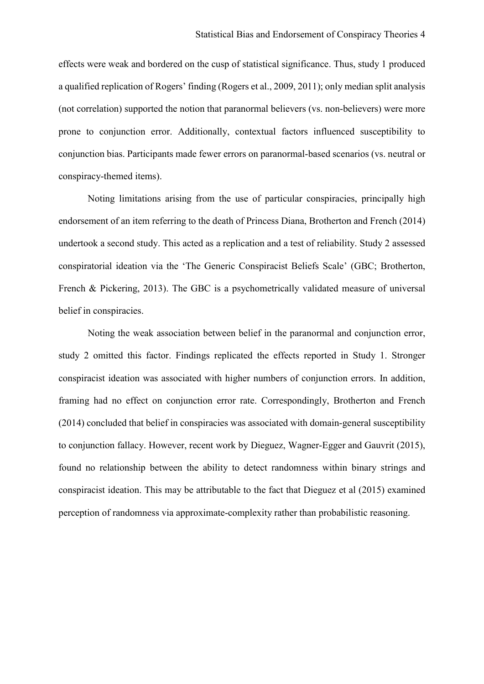effects were weak and bordered on the cusp of statistical significance. Thus, study 1 produced a qualified replication of Rogers' finding (Rogers et al., 2009, 2011); only median split analysis (not correlation) supported the notion that paranormal believers (vs. non-believers) were more prone to conjunction error. Additionally, contextual factors influenced susceptibility to conjunction bias. Participants made fewer errors on paranormal-based scenarios (vs. neutral or conspiracy-themed items).

Noting limitations arising from the use of particular conspiracies, principally high endorsement of an item referring to the death of Princess Diana, Brotherton and French (2014) undertook a second study. This acted as a replication and a test of reliability. Study 2 assessed conspiratorial ideation via the 'The Generic Conspiracist Beliefs Scale' (GBC; Brotherton, French & Pickering, 2013). The GBC is a psychometrically validated measure of universal belief in conspiracies.

Noting the weak association between belief in the paranormal and conjunction error, study 2 omitted this factor. Findings replicated the effects reported in Study 1. Stronger conspiracist ideation was associated with higher numbers of conjunction errors. In addition, framing had no effect on conjunction error rate. Correspondingly, Brotherton and French (2014) concluded that belief in conspiracies was associated with domain-general susceptibility to conjunction fallacy. However, recent work by Dieguez, Wagner-Egger and Gauvrit (2015), found no relationship between the ability to detect randomness within binary strings and conspiracist ideation. This may be attributable to the fact that Dieguez et al (2015) examined perception of randomness via approximate-complexity rather than probabilistic reasoning.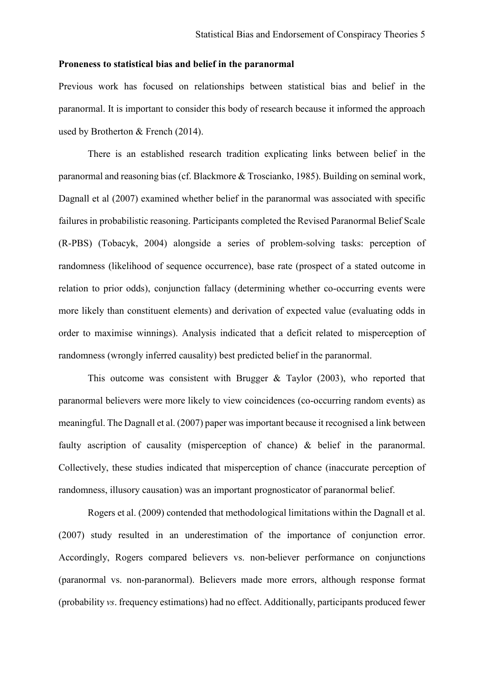## **Proneness to statistical bias and belief in the paranormal**

Previous work has focused on relationships between statistical bias and belief in the paranormal. It is important to consider this body of research because it informed the approach used by Brotherton & French (2014).

There is an established research tradition explicating links between belief in the paranormal and reasoning bias (cf. Blackmore & Troscianko, 1985). Building on seminal work, Dagnall et al (2007) examined whether belief in the paranormal was associated with specific failures in probabilistic reasoning. Participants completed the Revised Paranormal Belief Scale (R-PBS) (Tobacyk, 2004) alongside a series of problem-solving tasks: perception of randomness (likelihood of sequence occurrence), base rate (prospect of a stated outcome in relation to prior odds), conjunction fallacy (determining whether co-occurring events were more likely than constituent elements) and derivation of expected value (evaluating odds in order to maximise winnings). Analysis indicated that a deficit related to misperception of randomness (wrongly inferred causality) best predicted belief in the paranormal.

This outcome was consistent with Brugger & Taylor (2003), who reported that paranormal believers were more likely to view coincidences (co-occurring random events) as meaningful. The Dagnall et al. (2007) paper was important because it recognised a link between faulty ascription of causality (misperception of chance) & belief in the paranormal. Collectively, these studies indicated that misperception of chance (inaccurate perception of randomness, illusory causation) was an important prognosticator of paranormal belief.

Rogers et al. (2009) contended that methodological limitations within the Dagnall et al. (2007) study resulted in an underestimation of the importance of conjunction error. Accordingly, Rogers compared believers vs. non-believer performance on conjunctions (paranormal vs. non-paranormal). Believers made more errors, although response format (probability *vs*. frequency estimations) had no effect. Additionally, participants produced fewer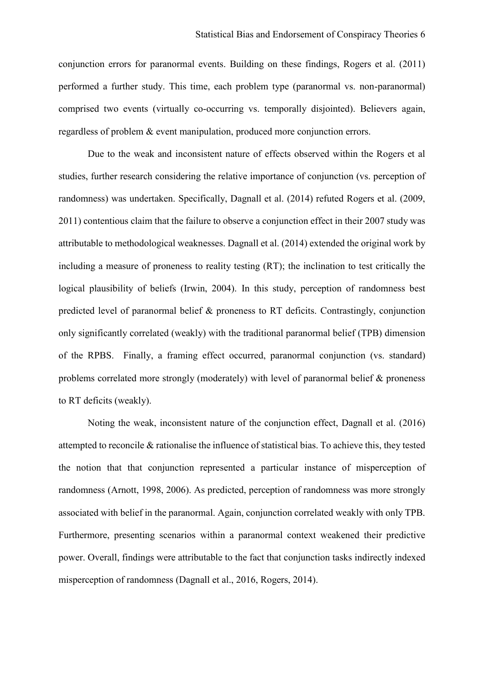conjunction errors for paranormal events. Building on these findings, Rogers et al. (2011) performed a further study. This time, each problem type (paranormal vs. non-paranormal) comprised two events (virtually co-occurring vs. temporally disjointed). Believers again, regardless of problem & event manipulation, produced more conjunction errors.

Due to the weak and inconsistent nature of effects observed within the Rogers et al studies, further research considering the relative importance of conjunction (vs. perception of randomness) was undertaken. Specifically, Dagnall et al. (2014) refuted Rogers et al. (2009, 2011) contentious claim that the failure to observe a conjunction effect in their 2007 study was attributable to methodological weaknesses. Dagnall et al. (2014) extended the original work by including a measure of proneness to reality testing (RT); the inclination to test critically the logical plausibility of beliefs (Irwin, 2004). In this study, perception of randomness best predicted level of paranormal belief & proneness to RT deficits. Contrastingly, conjunction only significantly correlated (weakly) with the traditional paranormal belief (TPB) dimension of the RPBS. Finally, a framing effect occurred, paranormal conjunction (vs. standard) problems correlated more strongly (moderately) with level of paranormal belief & proneness to RT deficits (weakly).

Noting the weak, inconsistent nature of the conjunction effect, Dagnall et al. (2016) attempted to reconcile & rationalise the influence of statistical bias. To achieve this, they tested the notion that that conjunction represented a particular instance of misperception of randomness (Arnott, 1998, 2006). As predicted, perception of randomness was more strongly associated with belief in the paranormal. Again, conjunction correlated weakly with only TPB. Furthermore, presenting scenarios within a paranormal context weakened their predictive power. Overall, findings were attributable to the fact that conjunction tasks indirectly indexed misperception of randomness (Dagnall et al., 2016, Rogers, 2014).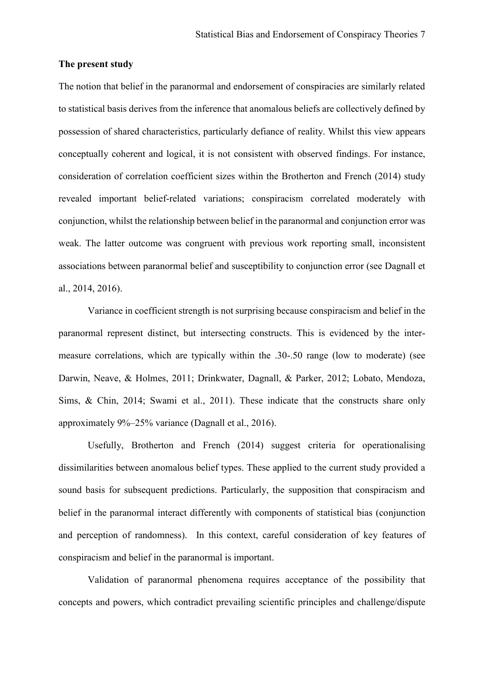#### **The present study**

The notion that belief in the paranormal and endorsement of conspiracies are similarly related to statistical basis derives from the inference that anomalous beliefs are collectively defined by possession of shared characteristics, particularly defiance of reality. Whilst this view appears conceptually coherent and logical, it is not consistent with observed findings. For instance, consideration of correlation coefficient sizes within the Brotherton and French (2014) study revealed important belief-related variations; conspiracism correlated moderately with conjunction, whilst the relationship between belief in the paranormal and conjunction error was weak. The latter outcome was congruent with previous work reporting small, inconsistent associations between paranormal belief and susceptibility to conjunction error (see Dagnall et al., 2014, 2016).

Variance in coefficient strength is not surprising because conspiracism and belief in the paranormal represent distinct, but intersecting constructs. This is evidenced by the intermeasure correlations, which are typically within the .30-.50 range (low to moderate) (see Darwin, Neave, & Holmes, 2011; Drinkwater, Dagnall, & Parker, 2012; Lobato, Mendoza, Sims, & Chin, 2014; Swami et al., 2011). These indicate that the constructs share only approximately 9%–25% variance (Dagnall et al., 2016).

Usefully, Brotherton and French (2014) suggest criteria for operationalising dissimilarities between anomalous belief types. These applied to the current study provided a sound basis for subsequent predictions. Particularly, the supposition that conspiracism and belief in the paranormal interact differently with components of statistical bias (conjunction and perception of randomness). In this context, careful consideration of key features of conspiracism and belief in the paranormal is important.

Validation of paranormal phenomena requires acceptance of the possibility that concepts and powers, which contradict prevailing scientific principles and challenge/dispute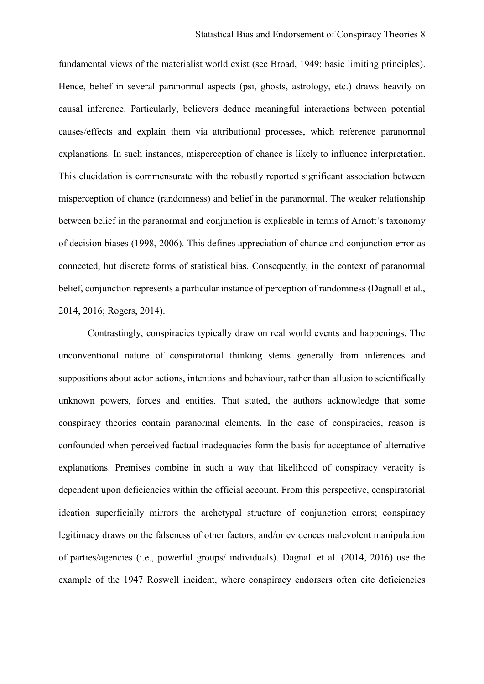fundamental views of the materialist world exist (see Broad, 1949; basic limiting principles). Hence, belief in several paranormal aspects (psi, ghosts, astrology, etc.) draws heavily on causal inference. Particularly, believers deduce meaningful interactions between potential causes/effects and explain them via attributional processes, which reference paranormal explanations. In such instances, misperception of chance is likely to influence interpretation. This elucidation is commensurate with the robustly reported significant association between misperception of chance (randomness) and belief in the paranormal. The weaker relationship between belief in the paranormal and conjunction is explicable in terms of Arnott's taxonomy of decision biases (1998, 2006). This defines appreciation of chance and conjunction error as connected, but discrete forms of statistical bias. Consequently, in the context of paranormal belief, conjunction represents a particular instance of perception of randomness (Dagnall et al., 2014, 2016; Rogers, 2014).

Contrastingly, conspiracies typically draw on real world events and happenings. The unconventional nature of conspiratorial thinking stems generally from inferences and suppositions about actor actions, intentions and behaviour, rather than allusion to scientifically unknown powers, forces and entities. That stated, the authors acknowledge that some conspiracy theories contain paranormal elements. In the case of conspiracies, reason is confounded when perceived factual inadequacies form the basis for acceptance of alternative explanations. Premises combine in such a way that likelihood of conspiracy veracity is dependent upon deficiencies within the official account. From this perspective, conspiratorial ideation superficially mirrors the archetypal structure of conjunction errors; conspiracy legitimacy draws on the falseness of other factors, and/or evidences malevolent manipulation of parties/agencies (i.e., powerful groups/ individuals). Dagnall et al. (2014, 2016) use the example of the 1947 Roswell incident, where conspiracy endorsers often cite deficiencies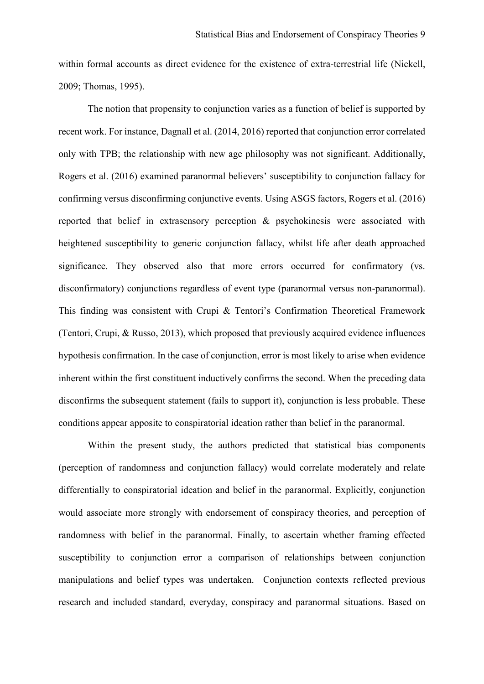within formal accounts as direct evidence for the existence of extra-terrestrial life (Nickell, 2009; Thomas, 1995).

The notion that propensity to conjunction varies as a function of belief is supported by recent work. For instance, Dagnall et al. (2014, 2016) reported that conjunction error correlated only with TPB; the relationship with new age philosophy was not significant. Additionally, Rogers et al. (2016) examined paranormal believers' susceptibility to conjunction fallacy for confirming versus disconfirming conjunctive events. Using ASGS factors, Rogers et al. (2016) reported that belief in extrasensory perception & psychokinesis were associated with heightened susceptibility to generic conjunction fallacy, whilst life after death approached significance. They observed also that more errors occurred for confirmatory (vs. disconfirmatory) conjunctions regardless of event type (paranormal versus non-paranormal). This finding was consistent with Crupi & Tentori's Confirmation Theoretical Framework (Tentori, Crupi, & Russo, 2013), which proposed that previously acquired evidence influences hypothesis confirmation. In the case of conjunction, error is most likely to arise when evidence inherent within the first constituent inductively confirms the second. When the preceding data disconfirms the subsequent statement (fails to support it), conjunction is less probable. These conditions appear apposite to conspiratorial ideation rather than belief in the paranormal.

Within the present study, the authors predicted that statistical bias components (perception of randomness and conjunction fallacy) would correlate moderately and relate differentially to conspiratorial ideation and belief in the paranormal. Explicitly, conjunction would associate more strongly with endorsement of conspiracy theories, and perception of randomness with belief in the paranormal. Finally, to ascertain whether framing effected susceptibility to conjunction error a comparison of relationships between conjunction manipulations and belief types was undertaken. Conjunction contexts reflected previous research and included standard, everyday, conspiracy and paranormal situations. Based on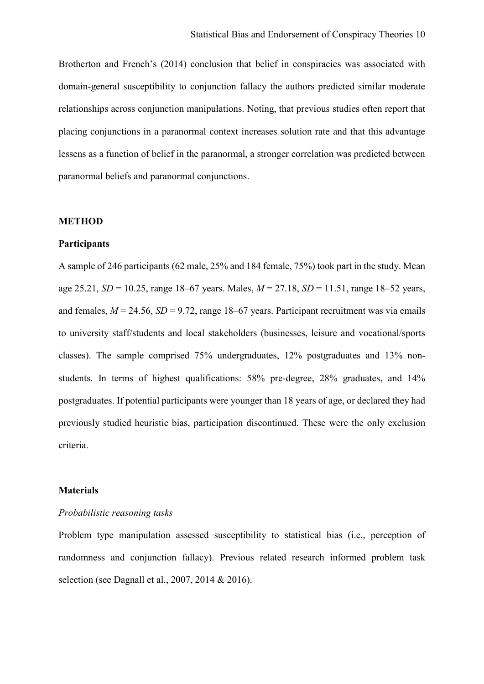Brotherton and French's (2014) conclusion that belief in conspiracies was associated with domain-general susceptibility to conjunction fallacy the authors predicted similar moderate relationships across conjunction manipulations. Noting, that previous studies often report that placing conjunctions in a paranormal context increases solution rate and that this advantage lessens as a function of belief in the paranormal, a stronger correlation was predicted between paranormal beliefs and paranormal conjunctions.

#### **METHOD**

#### **Participants**

A sample of 246 participants (62 male, 25% and 184 female, 75%) took part in the study. Mean age 25.21, *SD* = 10.25, range 18–67 years. Males, *M* = 27.18, *SD* = 11.51, range 18–52 years, and females,  $M = 24.56$ ,  $SD = 9.72$ , range 18–67 years. Participant recruitment was via emails to university staff/students and local stakeholders (businesses, leisure and vocational/sports classes). The sample comprised 75% undergraduates, 12% postgraduates and 13% nonstudents. In terms of highest qualifications: 58% pre-degree, 28% graduates, and 14% postgraduates. If potential participants were younger than 18 years of age, or declared they had previously studied heuristic bias, participation discontinued. These were the only exclusion criteria.

#### **Materials**

## *Probabilistic reasoning tasks*

Problem type manipulation assessed susceptibility to statistical bias (i.e., perception of randomness and conjunction fallacy). Previous related research informed problem task selection (see Dagnall et al., 2007, 2014 & 2016).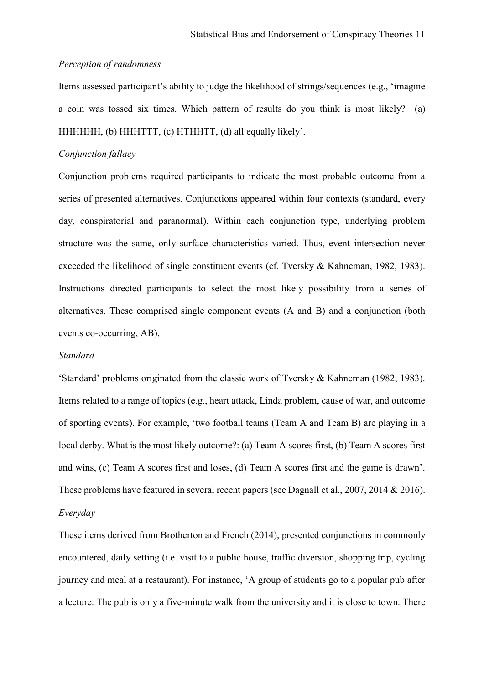#### *Perception of randomness*

Items assessed participant's ability to judge the likelihood of strings/sequences (e.g., 'imagine a coin was tossed six times. Which pattern of results do you think is most likely? (a) HHHHHH, (b) HHHTTT, (c) HTHHTT, (d) all equally likely'.

## *Conjunction fallacy*

Conjunction problems required participants to indicate the most probable outcome from a series of presented alternatives. Conjunctions appeared within four contexts (standard, every day, conspiratorial and paranormal). Within each conjunction type, underlying problem structure was the same, only surface characteristics varied. Thus, event intersection never exceeded the likelihood of single constituent events (cf. Tversky & Kahneman, 1982, 1983). Instructions directed participants to select the most likely possibility from a series of alternatives. These comprised single component events (A and B) and a conjunction (both events co-occurring, AB).

## *Standard*

'Standard' problems originated from the classic work of Tversky & Kahneman (1982, 1983). Items related to a range of topics (e.g., heart attack, Linda problem, cause of war, and outcome of sporting events). For example, 'two football teams (Team A and Team B) are playing in a local derby. What is the most likely outcome?: (a) Team A scores first, (b) Team A scores first and wins, (c) Team A scores first and loses, (d) Team A scores first and the game is drawn'. These problems have featured in several recent papers (see Dagnall et al., 2007, 2014 & 2016). *Everyday* 

These items derived from Brotherton and French (2014), presented conjunctions in commonly encountered, daily setting (i.e. visit to a public house, traffic diversion, shopping trip, cycling journey and meal at a restaurant). For instance, 'A group of students go to a popular pub after a lecture. The pub is only a five-minute walk from the university and it is close to town. There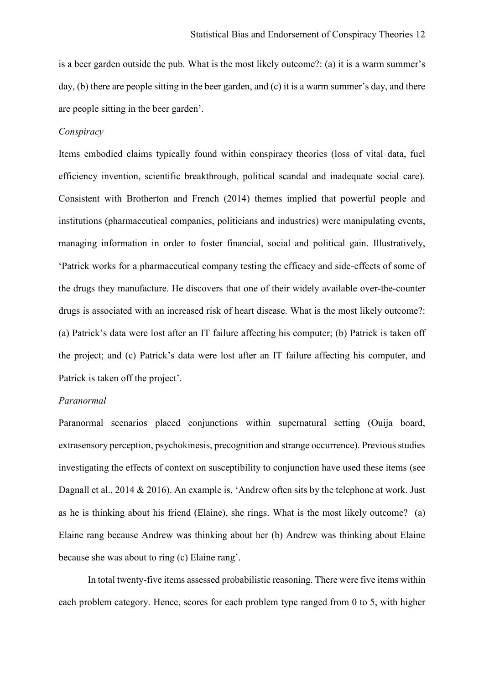is a beer garden outside the pub. What is the most likely outcome?: (a) it is a warm summer's day, (b) there are people sitting in the beer garden, and (c) it is a warm summer's day, and there are people sitting in the beer garden'.

## *Conspiracy*

Items embodied claims typically found within conspiracy theories (loss of vital data, fuel efficiency invention, scientific breakthrough, political scandal and inadequate social care). Consistent with Brotherton and French (2014) themes implied that powerful people and institutions (pharmaceutical companies, politicians and industries) were manipulating events, managing information in order to foster financial, social and political gain. Illustratively, 'Patrick works for a pharmaceutical company testing the efficacy and side-effects of some of the drugs they manufacture. He discovers that one of their widely available over-the-counter drugs is associated with an increased risk of heart disease. What is the most likely outcome?: (a) Patrick's data were lost after an IT failure affecting his computer; (b) Patrick is taken off the project; and (c) Patrick's data were lost after an IT failure affecting his computer, and Patrick is taken off the project'.

## *Paranormal*

Paranormal scenarios placed conjunctions within supernatural setting (Ouija board, extrasensory perception, psychokinesis, precognition and strange occurrence). Previous studies investigating the effects of context on susceptibility to conjunction have used these items (see Dagnall et al., 2014 & 2016). An example is, 'Andrew often sits by the telephone at work. Just as he is thinking about his friend (Elaine), she rings. What is the most likely outcome? (a) Elaine rang because Andrew was thinking about her (b) Andrew was thinking about Elaine because she was about to ring (c) Elaine rang'.

In total twenty-five items assessed probabilistic reasoning. There were five items within each problem category. Hence, scores for each problem type ranged from 0 to 5, with higher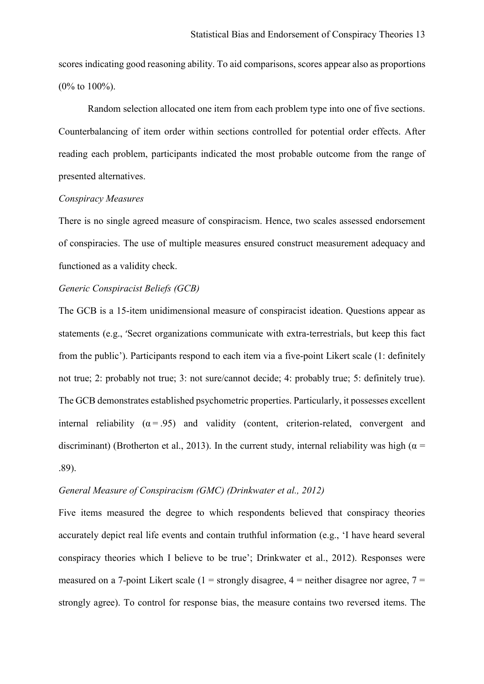scores indicating good reasoning ability. To aid comparisons, scores appear also as proportions (0% to 100%).

Random selection allocated one item from each problem type into one of five sections. Counterbalancing of item order within sections controlled for potential order effects. After reading each problem, participants indicated the most probable outcome from the range of presented alternatives.

#### *Conspiracy Measures*

There is no single agreed measure of conspiracism. Hence, two scales assessed endorsement of conspiracies. The use of multiple measures ensured construct measurement adequacy and functioned as a validity check.

## *Generic Conspiracist Beliefs (GCB)*

The GCB is a 15-item unidimensional measure of conspiracist ideation. Questions appear as statements (e.g., 'Secret organizations communicate with extra-terrestrials, but keep this fact from the public'). Participants respond to each item via a five-point Likert scale (1: definitely not true; 2: probably not true; 3: not sure/cannot decide; 4: probably true; 5: definitely true). The GCB demonstrates established psychometric properties. Particularly, it possesses excellent internal reliability ( $\alpha$  = .95) and validity (content, criterion-related, convergent and discriminant) (Brotherton et al., 2013). In the current study, internal reliability was high ( $\alpha$  = .89).

#### *General Measure of Conspiracism (GMC) (Drinkwater et al., 2012)*

Five items measured the degree to which respondents believed that conspiracy theories accurately depict real life events and contain truthful information (e.g., 'I have heard several conspiracy theories which I believe to be true'; Drinkwater et al., 2012). Responses were measured on a 7-point Likert scale (1 = strongly disagree,  $4$  = neither disagree nor agree,  $7$  = strongly agree). To control for response bias, the measure contains two reversed items. The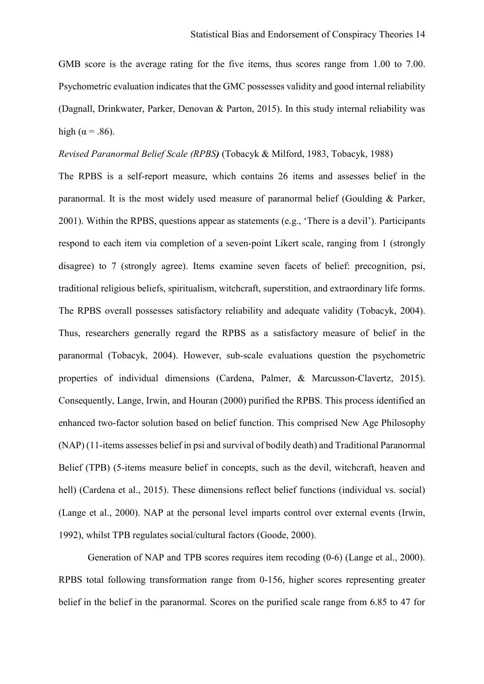GMB score is the average rating for the five items, thus scores range from 1.00 to 7.00. Psychometric evaluation indicates that the GMC possesses validity and good internal reliability (Dagnall, Drinkwater, Parker, Denovan & Parton, 2015). In this study internal reliability was high ( $\alpha$  = .86).

*Revised Paranormal Belief Scale (RPBS)* (Tobacyk & Milford, 1983, Tobacyk, 1988)

The RPBS is a self-report measure, which contains 26 items and assesses belief in the paranormal. It is the most widely used measure of paranormal belief (Goulding & Parker, 2001). Within the RPBS, questions appear as statements (e.g., 'There is a devil'). Participants respond to each item via completion of a seven-point Likert scale, ranging from 1 (strongly disagree) to 7 (strongly agree). Items examine seven facets of belief: precognition, psi, traditional religious beliefs, spiritualism, witchcraft, superstition, and extraordinary life forms. The RPBS overall possesses satisfactory reliability and adequate validity (Tobacyk, 2004). Thus, researchers generally regard the RPBS as a satisfactory measure of belief in the paranormal (Tobacyk, 2004). However, sub-scale evaluations question the psychometric properties of individual dimensions (Cardena, Palmer, & Marcusson-Clavertz, 2015). Consequently, Lange, Irwin, and Houran (2000) purified the RPBS. This process identified an enhanced two-factor solution based on belief function. This comprised New Age Philosophy (NAP) (11-items assesses belief in psi and survival of bodily death) and Traditional Paranormal Belief (TPB) (5-items measure belief in concepts, such as the devil, witchcraft, heaven and hell) (Cardena et al., 2015). These dimensions reflect belief functions (individual vs. social) (Lange et al., 2000). NAP at the personal level imparts control over external events (Irwin, 1992), whilst TPB regulates social/cultural factors (Goode, 2000).

Generation of NAP and TPB scores requires item recoding (0-6) (Lange et al., 2000). RPBS total following transformation range from 0-156, higher scores representing greater belief in the belief in the paranormal. Scores on the purified scale range from 6.85 to 47 for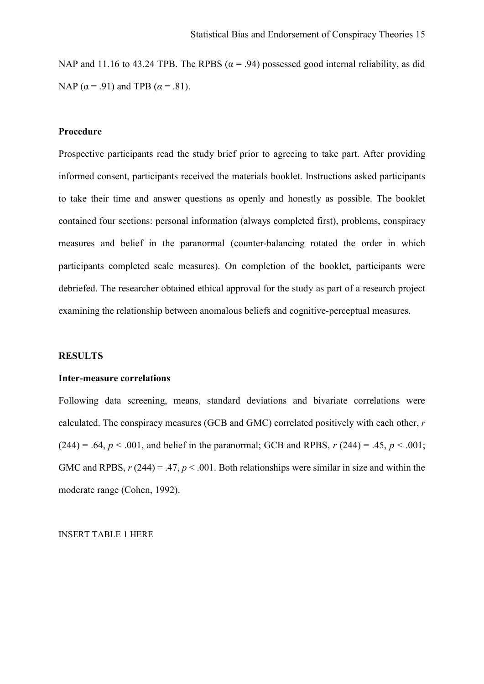NAP and 11.16 to 43.24 TPB. The RPBS ( $\alpha$  = .94) possessed good internal reliability, as did NAP ( $\alpha$  = .91) and TPB ( $\alpha$  = .81).

## **Procedure**

Prospective participants read the study brief prior to agreeing to take part. After providing informed consent, participants received the materials booklet. Instructions asked participants to take their time and answer questions as openly and honestly as possible. The booklet contained four sections: personal information (always completed first), problems, conspiracy measures and belief in the paranormal (counter-balancing rotated the order in which participants completed scale measures). On completion of the booklet, participants were debriefed. The researcher obtained ethical approval for the study as part of a research project examining the relationship between anomalous beliefs and cognitive-perceptual measures.

#### **RESULTS**

### **Inter-measure correlations**

Following data screening, means, standard deviations and bivariate correlations were calculated. The conspiracy measures (GCB and GMC) correlated positively with each other, *r*   $(244) = .64, p < .001$ , and belief in the paranormal; GCB and RPBS,  $r(244) = .45, p < .001$ ; GMC and RPBS,  $r(244) = .47$ ,  $p < .001$ . Both relationships were similar in size and within the moderate range (Cohen, 1992).

INSERT TABLE 1 HERE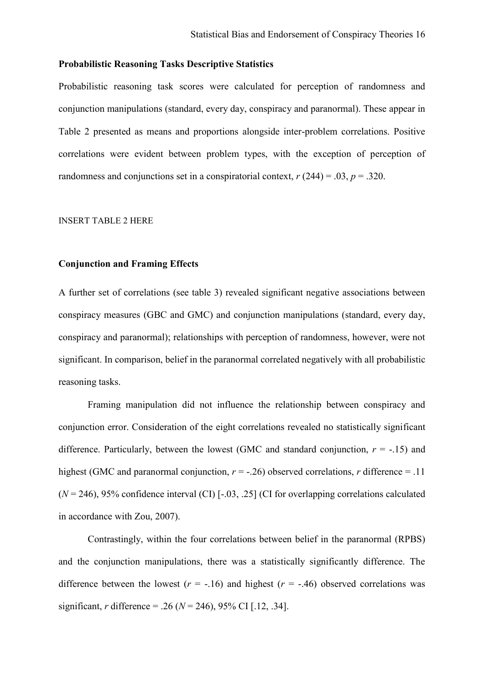## **Probabilistic Reasoning Tasks Descriptive Statistics**

Probabilistic reasoning task scores were calculated for perception of randomness and conjunction manipulations (standard, every day, conspiracy and paranormal). These appear in Table 2 presented as means and proportions alongside inter-problem correlations. Positive correlations were evident between problem types, with the exception of perception of randomness and conjunctions set in a conspiratorial context,  $r(244) = .03$ ,  $p = .320$ .

#### INSERT TABLE 2 HERE

## **Conjunction and Framing Effects**

A further set of correlations (see table 3) revealed significant negative associations between conspiracy measures (GBC and GMC) and conjunction manipulations (standard, every day, conspiracy and paranormal); relationships with perception of randomness, however, were not significant. In comparison, belief in the paranormal correlated negatively with all probabilistic reasoning tasks.

Framing manipulation did not influence the relationship between conspiracy and conjunction error. Consideration of the eight correlations revealed no statistically significant difference. Particularly, between the lowest (GMC and standard conjunction,  $r = -15$ ) and highest (GMC and paranormal conjunction,  $r = -0.26$ ) observed correlations, *r* difference = .11  $(N = 246)$ , 95% confidence interval (CI)  $[-.03, .25]$  (CI for overlapping correlations calculated in accordance with Zou, 2007).

Contrastingly, within the four correlations between belief in the paranormal (RPBS) and the conjunction manipulations, there was a statistically significantly difference. The difference between the lowest  $(r = -.16)$  and highest  $(r = -.46)$  observed correlations was significant, *r* difference = .26 (*N* = 246), 95% CI [.12, .34].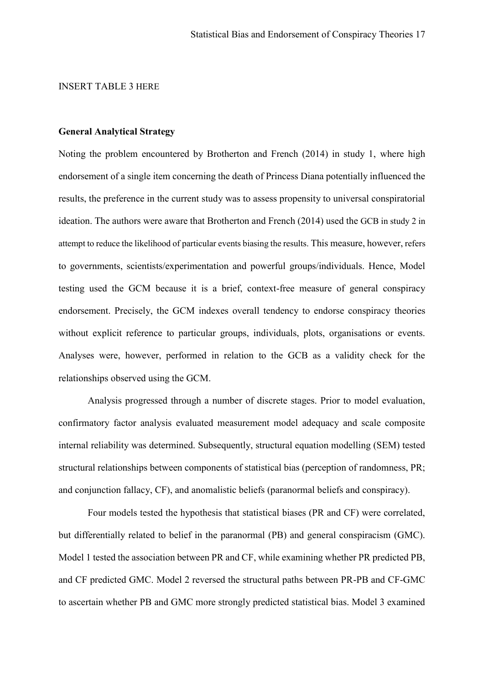#### INSERT TABLE 3 HERE

## **General Analytical Strategy**

Noting the problem encountered by Brotherton and French (2014) in study 1, where high endorsement of a single item concerning the death of Princess Diana potentially influenced the results, the preference in the current study was to assess propensity to universal conspiratorial ideation. The authors were aware that Brotherton and French (2014) used the GCB in study 2 in attempt to reduce the likelihood of particular events biasing the results. This measure, however, refers to governments, scientists/experimentation and powerful groups/individuals. Hence, Model testing used the GCM because it is a brief, context-free measure of general conspiracy endorsement. Precisely, the GCM indexes overall tendency to endorse conspiracy theories without explicit reference to particular groups, individuals, plots, organisations or events. Analyses were, however, performed in relation to the GCB as a validity check for the relationships observed using the GCM.

Analysis progressed through a number of discrete stages. Prior to model evaluation, confirmatory factor analysis evaluated measurement model adequacy and scale composite internal reliability was determined. Subsequently, structural equation modelling (SEM) tested structural relationships between components of statistical bias (perception of randomness, PR; and conjunction fallacy, CF), and anomalistic beliefs (paranormal beliefs and conspiracy).

Four models tested the hypothesis that statistical biases (PR and CF) were correlated, but differentially related to belief in the paranormal (PB) and general conspiracism (GMC). Model 1 tested the association between PR and CF, while examining whether PR predicted PB, and CF predicted GMC. Model 2 reversed the structural paths between PR-PB and CF-GMC to ascertain whether PB and GMC more strongly predicted statistical bias. Model 3 examined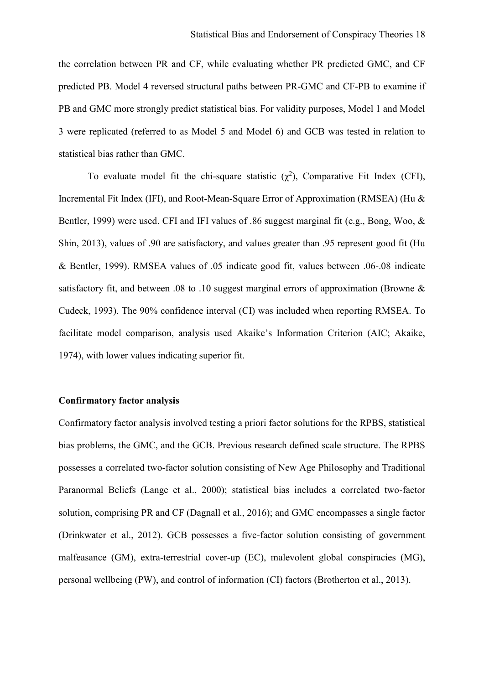the correlation between PR and CF, while evaluating whether PR predicted GMC, and CF predicted PB. Model 4 reversed structural paths between PR-GMC and CF-PB to examine if PB and GMC more strongly predict statistical bias. For validity purposes, Model 1 and Model 3 were replicated (referred to as Model 5 and Model 6) and GCB was tested in relation to statistical bias rather than GMC.

To evaluate model fit the chi-square statistic  $(\chi^2)$ , Comparative Fit Index (CFI), Incremental Fit Index (IFI), and Root-Mean-Square Error of Approximation (RMSEA) (Hu & Bentler, 1999) were used. CFI and IFI values of .86 suggest marginal fit (e.g., Bong, Woo, & Shin, 2013), values of .90 are satisfactory, and values greater than .95 represent good fit (Hu & Bentler, 1999). RMSEA values of .05 indicate good fit, values between .06-.08 indicate satisfactory fit, and between .08 to .10 suggest marginal errors of approximation (Browne & Cudeck, 1993). The 90% confidence interval (CI) was included when reporting RMSEA. To facilitate model comparison, analysis used Akaike's Information Criterion (AIC; Akaike, 1974), with lower values indicating superior fit.

## **Confirmatory factor analysis**

Confirmatory factor analysis involved testing a priori factor solutions for the RPBS, statistical bias problems, the GMC, and the GCB. Previous research defined scale structure. The RPBS possesses a correlated two-factor solution consisting of New Age Philosophy and Traditional Paranormal Beliefs (Lange et al., 2000); statistical bias includes a correlated two-factor solution, comprising PR and CF (Dagnall et al., 2016); and GMC encompasses a single factor (Drinkwater et al., 2012). GCB possesses a five-factor solution consisting of government malfeasance (GM), extra-terrestrial cover-up (EC), malevolent global conspiracies (MG), personal wellbeing (PW), and control of information (CI) factors (Brotherton et al., 2013).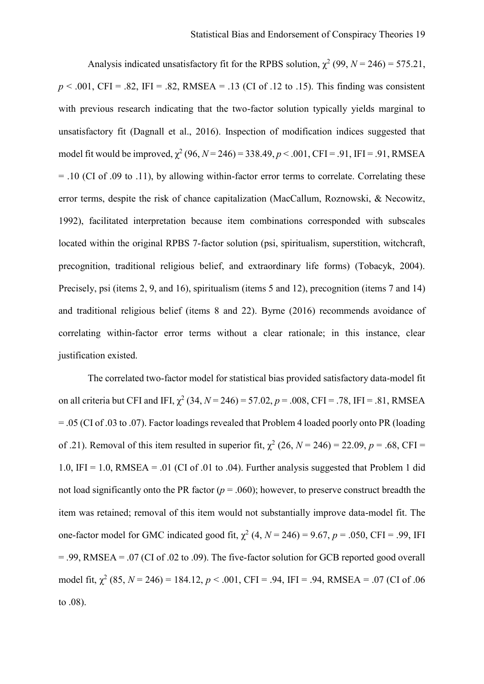Analysis indicated unsatisfactory fit for the RPBS solution,  $\chi^2$  (99, *N* = 246) = 575.21,  $p \le 0.001$ , CFI = .82, IFI = .82, RMSEA = .13 (CI of .12 to .15). This finding was consistent with previous research indicating that the two-factor solution typically yields marginal to unsatisfactory fit (Dagnall et al., 2016). Inspection of modification indices suggested that model fit would be improved,  $\chi^2$  (96, *N* = 246) = 338.49, *p* < .001, CFI = .91, IFI = .91, RMSEA = .10 (CI of .09 to .11), by allowing within-factor error terms to correlate. Correlating these error terms, despite the risk of chance capitalization (MacCallum, Roznowski, & Necowitz, 1992), facilitated interpretation because item combinations corresponded with subscales located within the original RPBS 7-factor solution (psi, spiritualism, superstition, witchcraft, precognition, traditional religious belief, and extraordinary life forms) (Tobacyk, 2004). Precisely, psi (items 2, 9, and 16), spiritualism (items 5 and 12), precognition (items 7 and 14) and traditional religious belief (items 8 and 22). Byrne (2016) recommends avoidance of correlating within-factor error terms without a clear rationale; in this instance, clear justification existed.

The correlated two-factor model for statistical bias provided satisfactory data-model fit on all criteria but CFI and IFI,  $\chi^2$  (34,  $N = 246$ ) = 57.02,  $p = .008$ , CFI = .78, IFI = .81, RMSEA = .05 (CI of .03 to .07). Factor loadings revealed that Problem 4 loaded poorly onto PR (loading of .21). Removal of this item resulted in superior fit,  $\chi^2$  (26,  $N = 246$ ) = 22.09,  $p = .68$ , CFI = 1.0, IFI = 1.0, RMSEA = .01 (CI of .01 to .04). Further analysis suggested that Problem 1 did not load significantly onto the PR factor  $(p = .060)$ ; however, to preserve construct breadth the item was retained; removal of this item would not substantially improve data-model fit. The one-factor model for GMC indicated good fit,  $\chi^2$  (4,  $N = 246$ ) = 9.67,  $p = .050$ , CFI = .99, IFI  $= 0.99$ , RMSEA  $= 0.07$  (CI of 0.02 to 0.09). The five-factor solution for GCB reported good overall model fit,  $\chi^2$  (85,  $N = 246$ ) = 184.12,  $p < .001$ , CFI = .94, IFI = .94, RMSEA = .07 (CI of .06 to .08).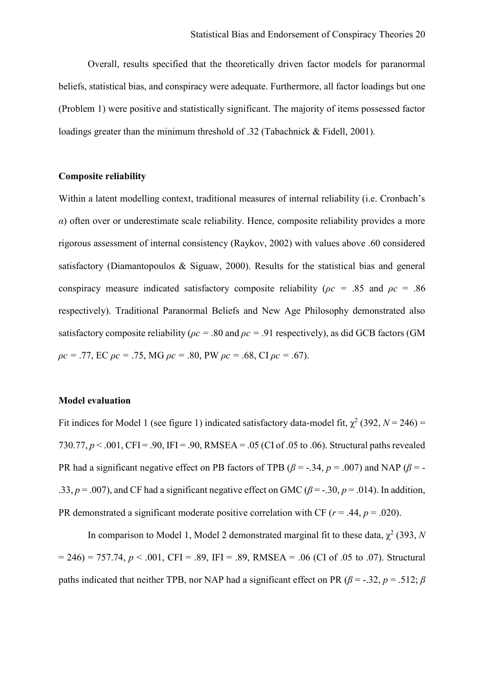Overall, results specified that the theoretically driven factor models for paranormal beliefs, statistical bias, and conspiracy were adequate. Furthermore, all factor loadings but one (Problem 1) were positive and statistically significant. The majority of items possessed factor loadings greater than the minimum threshold of .32 (Tabachnick & Fidell, 2001).

## **Composite reliability**

Within a latent modelling context, traditional measures of internal reliability (i.e. Cronbach's *α*) often over or underestimate scale reliability. Hence, composite reliability provides a more rigorous assessment of internal consistency (Raykov, 2002) with values above .60 considered satisfactory (Diamantopoulos & Siguaw, 2000). Results for the statistical bias and general conspiracy measure indicated satisfactory composite reliability (*ρc =* .85 and *ρc* = .86 respectively). Traditional Paranormal Beliefs and New Age Philosophy demonstrated also satisfactory composite reliability ( $\rho c = .80$  and  $\rho c = .91$  respectively), as did GCB factors (GM *ρc =* .77, EC *ρc =* .75, MG *ρc =* .80, PW *ρc =* .68, CI *ρc =* .67).

## **Model evaluation**

Fit indices for Model 1 (see figure 1) indicated satisfactory data-model fit,  $\chi^2$  (392, *N* = 246) = 730.77,  $p < .001$ , CFI = .90, IFI = .90, RMSEA = .05 (CI of .05 to .06). Structural paths revealed PR had a significant negative effect on PB factors of TPB ( $\beta$  = -.34,  $p$  = .007) and NAP ( $\beta$  = -.33,  $p = .007$ ), and CF had a significant negative effect on GMC ( $\beta = -0.30$ ,  $p = .014$ ). In addition, PR demonstrated a significant moderate positive correlation with CF ( $r = .44$ ,  $p = .020$ ).

In comparison to Model 1, Model 2 demonstrated marginal fit to these data,  $\chi^2$  (393, N  $= 246$ ) = 757.74,  $p < .001$ , CFI = .89, IFI = .89, RMSEA = .06 (CI of .05 to .07). Structural paths indicated that neither TPB, nor NAP had a significant effect on PR ( $\beta$  = -.32, *p* = .512;  $\beta$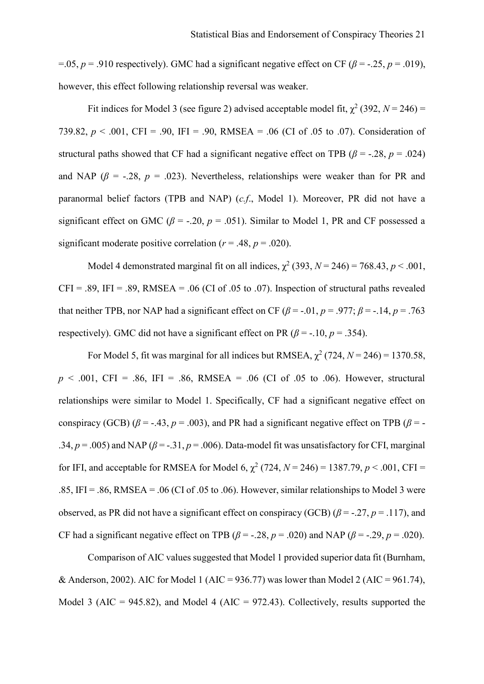=.05,  $p = .910$  respectively). GMC had a significant negative effect on CF ( $\beta$  = -.25,  $p = .019$ ), however, this effect following relationship reversal was weaker.

Fit indices for Model 3 (see figure 2) advised acceptable model fit,  $\chi^2$  (392, *N* = 246) = 739.82,  $p < .001$ , CFI = .90, IFI = .90, RMSEA = .06 (CI of .05 to .07). Consideration of structural paths showed that CF had a significant negative effect on TPB ( $\beta$  = -.28,  $p$  = .024) and NAP ( $\beta$  = -.28,  $p = .023$ ). Nevertheless, relationships were weaker than for PR and paranormal belief factors (TPB and NAP) (*c.f*., Model 1). Moreover, PR did not have a significant effect on GMC ( $\beta$  = -.20,  $p$  = .051). Similar to Model 1, PR and CF possessed a significant moderate positive correlation ( $r = .48$ ,  $p = .020$ ).

Model 4 demonstrated marginal fit on all indices,  $\chi^2$  (393,  $N = 246$ ) = 768.43,  $p < .001$ ,  $CFI = .89$ ,  $IFI = .89$ , RMSEA = .06 (CI of .05 to .07). Inspection of structural paths revealed that neither TPB, nor NAP had a significant effect on CF ( $\beta$  = -.01, *p* = .977;  $\beta$  = -.14, *p* = .763 respectively). GMC did not have a significant effect on PR ( $\beta$  = -.10, *p* = .354).

For Model 5, fit was marginal for all indices but RMSEA,  $\chi^2$  (724,  $N = 246$ ) = 1370.58,  $p \le 0.001$ , CFI = .86, IFI = .86, RMSEA = .06 (CI of .05 to .06). However, structural relationships were similar to Model 1. Specifically, CF had a significant negative effect on conspiracy (GCB) ( $\beta$  = -.43,  $p$  = .003), and PR had a significant negative effect on TPB ( $\beta$  = -.34,  $p = .005$ ) and NAP ( $\beta = -.31$ ,  $p = .006$ ). Data-model fit was unsatisfactory for CFI, marginal for IFI, and acceptable for RMSEA for Model 6,  $\chi^2$  (724,  $N = 246$ ) = 1387.79,  $p < .001$ , CFI = .85, IFI = .86, RMSEA = .06 (CI of .05 to .06). However, similar relationships to Model 3 were observed, as PR did not have a significant effect on conspiracy (GCB) ( $\beta$  = -.27, *p* = .117), and CF had a significant negative effect on TPB ( $\beta$  = -.28,  $p$  = .020) and NAP ( $\beta$  = -.29,  $p$  = .020).

Comparison of AIC values suggested that Model 1 provided superior data fit (Burnham, & Anderson, 2002). AIC for Model 1 (AIC = 936.77) was lower than Model 2 (AIC = 961.74), Model 3 (AIC = 945.82), and Model 4 (AIC = 972.43). Collectively, results supported the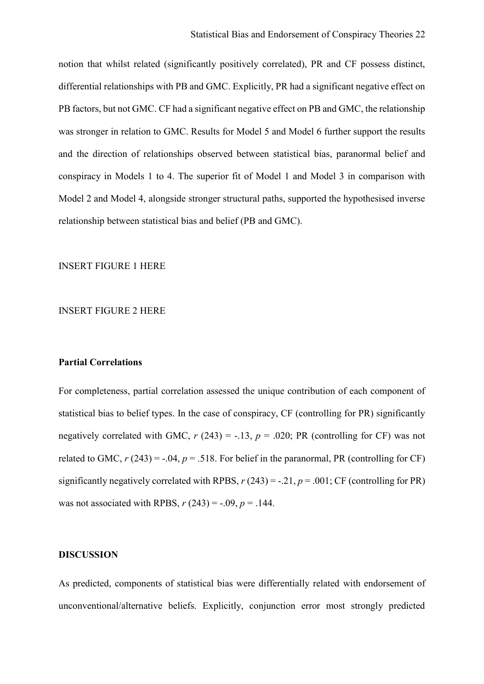notion that whilst related (significantly positively correlated), PR and CF possess distinct, differential relationships with PB and GMC. Explicitly, PR had a significant negative effect on PB factors, but not GMC. CF had a significant negative effect on PB and GMC, the relationship was stronger in relation to GMC. Results for Model 5 and Model 6 further support the results and the direction of relationships observed between statistical bias, paranormal belief and conspiracy in Models 1 to 4. The superior fit of Model 1 and Model 3 in comparison with Model 2 and Model 4, alongside stronger structural paths, supported the hypothesised inverse relationship between statistical bias and belief (PB and GMC).

## INSERT FIGURE 1 HERE

## INSERT FIGURE 2 HERE

## **Partial Correlations**

For completeness, partial correlation assessed the unique contribution of each component of statistical bias to belief types. In the case of conspiracy, CF (controlling for PR) significantly negatively correlated with GMC,  $r(243) = -.13$ ,  $p = .020$ ; PR (controlling for CF) was not related to GMC,  $r(243) = -0.04$ ,  $p = 0.518$ . For belief in the paranormal, PR (controlling for CF) significantly negatively correlated with RPBS,  $r(243) = -.21$ ,  $p = .001$ ; CF (controlling for PR) was not associated with RPBS,  $r(243) = -0.09$ ,  $p = 0.144$ .

#### **DISCUSSION**

As predicted, components of statistical bias were differentially related with endorsement of unconventional/alternative beliefs. Explicitly, conjunction error most strongly predicted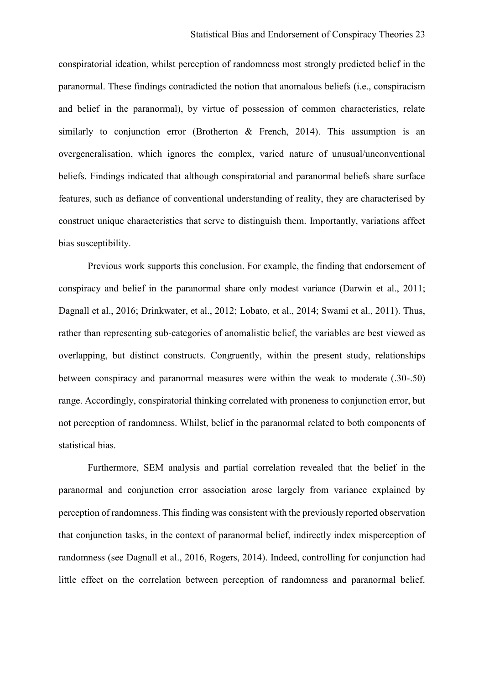conspiratorial ideation, whilst perception of randomness most strongly predicted belief in the paranormal. These findings contradicted the notion that anomalous beliefs (i.e., conspiracism and belief in the paranormal), by virtue of possession of common characteristics, relate similarly to conjunction error (Brotherton  $\&$  French, 2014). This assumption is an overgeneralisation, which ignores the complex, varied nature of unusual/unconventional beliefs. Findings indicated that although conspiratorial and paranormal beliefs share surface features, such as defiance of conventional understanding of reality, they are characterised by construct unique characteristics that serve to distinguish them. Importantly, variations affect bias susceptibility.

Previous work supports this conclusion. For example, the finding that endorsement of conspiracy and belief in the paranormal share only modest variance (Darwin et al., 2011; Dagnall et al., 2016; Drinkwater, et al., 2012; Lobato, et al., 2014; Swami et al., 2011). Thus, rather than representing sub-categories of anomalistic belief, the variables are best viewed as overlapping, but distinct constructs. Congruently, within the present study, relationships between conspiracy and paranormal measures were within the weak to moderate (.30-.50) range. Accordingly, conspiratorial thinking correlated with proneness to conjunction error, but not perception of randomness. Whilst, belief in the paranormal related to both components of statistical bias.

Furthermore, SEM analysis and partial correlation revealed that the belief in the paranormal and conjunction error association arose largely from variance explained by perception of randomness. This finding was consistent with the previously reported observation that conjunction tasks, in the context of paranormal belief, indirectly index misperception of randomness (see Dagnall et al., 2016, Rogers, 2014). Indeed, controlling for conjunction had little effect on the correlation between perception of randomness and paranormal belief.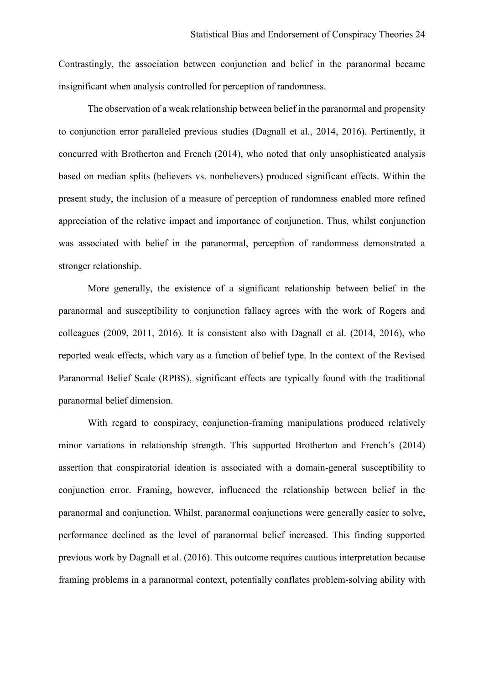Contrastingly, the association between conjunction and belief in the paranormal became insignificant when analysis controlled for perception of randomness.

The observation of a weak relationship between belief in the paranormal and propensity to conjunction error paralleled previous studies (Dagnall et al., 2014, 2016). Pertinently, it concurred with Brotherton and French (2014), who noted that only unsophisticated analysis based on median splits (believers vs. nonbelievers) produced significant effects. Within the present study, the inclusion of a measure of perception of randomness enabled more refined appreciation of the relative impact and importance of conjunction. Thus, whilst conjunction was associated with belief in the paranormal, perception of randomness demonstrated a stronger relationship.

More generally, the existence of a significant relationship between belief in the paranormal and susceptibility to conjunction fallacy agrees with the work of Rogers and colleagues (2009, 2011, 2016). It is consistent also with Dagnall et al. (2014, 2016), who reported weak effects, which vary as a function of belief type. In the context of the Revised Paranormal Belief Scale (RPBS), significant effects are typically found with the traditional paranormal belief dimension.

With regard to conspiracy, conjunction-framing manipulations produced relatively minor variations in relationship strength. This supported Brotherton and French's (2014) assertion that conspiratorial ideation is associated with a domain-general susceptibility to conjunction error. Framing, however, influenced the relationship between belief in the paranormal and conjunction. Whilst, paranormal conjunctions were generally easier to solve, performance declined as the level of paranormal belief increased. This finding supported previous work by Dagnall et al. (2016). This outcome requires cautious interpretation because framing problems in a paranormal context, potentially conflates problem-solving ability with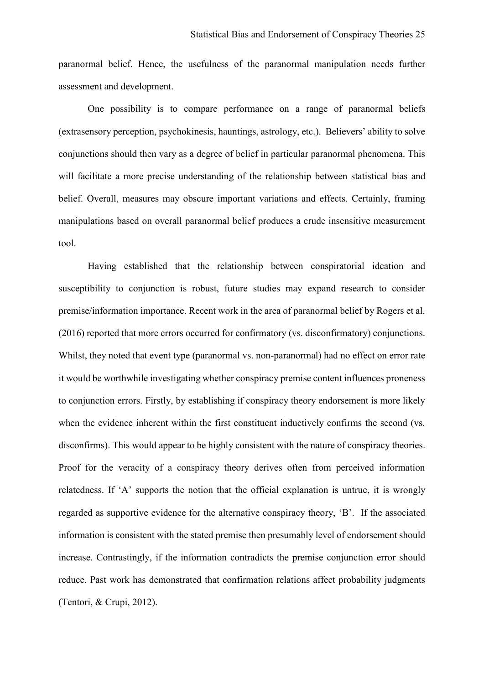paranormal belief. Hence, the usefulness of the paranormal manipulation needs further assessment and development.

One possibility is to compare performance on a range of paranormal beliefs (extrasensory perception, psychokinesis, hauntings, astrology, etc.). Believers' ability to solve conjunctions should then vary as a degree of belief in particular paranormal phenomena. This will facilitate a more precise understanding of the relationship between statistical bias and belief. Overall, measures may obscure important variations and effects. Certainly, framing manipulations based on overall paranormal belief produces a crude insensitive measurement tool.

Having established that the relationship between conspiratorial ideation and susceptibility to conjunction is robust, future studies may expand research to consider premise/information importance. Recent work in the area of paranormal belief by Rogers et al. (2016) reported that more errors occurred for confirmatory (vs. disconfirmatory) conjunctions. Whilst, they noted that event type (paranormal vs. non-paranormal) had no effect on error rate it would be worthwhile investigating whether conspiracy premise content influences proneness to conjunction errors. Firstly, by establishing if conspiracy theory endorsement is more likely when the evidence inherent within the first constituent inductively confirms the second (vs. disconfirms). This would appear to be highly consistent with the nature of conspiracy theories. Proof for the veracity of a conspiracy theory derives often from perceived information relatedness. If 'A' supports the notion that the official explanation is untrue, it is wrongly regarded as supportive evidence for the alternative conspiracy theory, 'B'. If the associated information is consistent with the stated premise then presumably level of endorsement should increase. Contrastingly, if the information contradicts the premise conjunction error should reduce. Past work has demonstrated that confirmation relations affect probability judgments (Tentori, & Crupi, 2012).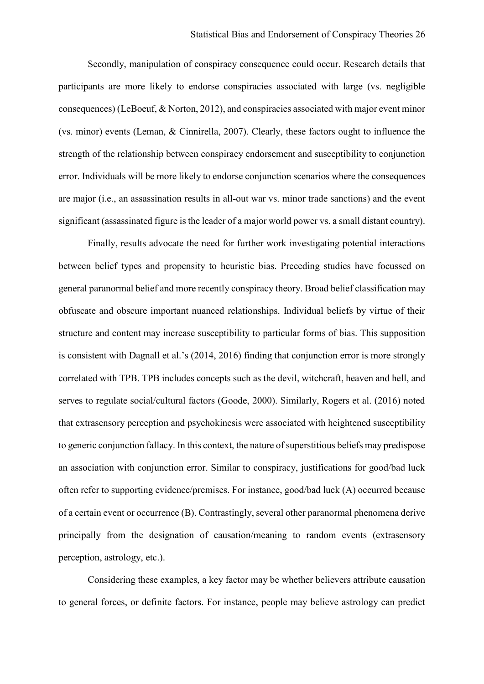Secondly, manipulation of conspiracy consequence could occur. Research details that participants are more likely to endorse conspiracies associated with large (vs. negligible consequences) (LeBoeuf, & Norton, 2012), and conspiracies associated with major event minor (vs. minor) events (Leman, & Cinnirella, 2007). Clearly, these factors ought to influence the strength of the relationship between conspiracy endorsement and susceptibility to conjunction error. Individuals will be more likely to endorse conjunction scenarios where the consequences are major (i.e., an assassination results in all-out war vs. minor trade sanctions) and the event significant (assassinated figure is the leader of a major world power vs. a small distant country).

Finally, results advocate the need for further work investigating potential interactions between belief types and propensity to heuristic bias. Preceding studies have focussed on general paranormal belief and more recently conspiracy theory. Broad belief classification may obfuscate and obscure important nuanced relationships. Individual beliefs by virtue of their structure and content may increase susceptibility to particular forms of bias. This supposition is consistent with Dagnall et al.'s (2014, 2016) finding that conjunction error is more strongly correlated with TPB. TPB includes concepts such as the devil, witchcraft, heaven and hell, and serves to regulate social/cultural factors (Goode, 2000). Similarly, Rogers et al. (2016) noted that extrasensory perception and psychokinesis were associated with heightened susceptibility to generic conjunction fallacy. In this context, the nature of superstitious beliefs may predispose an association with conjunction error. Similar to conspiracy, justifications for good/bad luck often refer to supporting evidence/premises. For instance, good/bad luck (A) occurred because of a certain event or occurrence (B). Contrastingly, several other paranormal phenomena derive principally from the designation of causation/meaning to random events (extrasensory perception, astrology, etc.).

Considering these examples, a key factor may be whether believers attribute causation to general forces, or definite factors. For instance, people may believe astrology can predict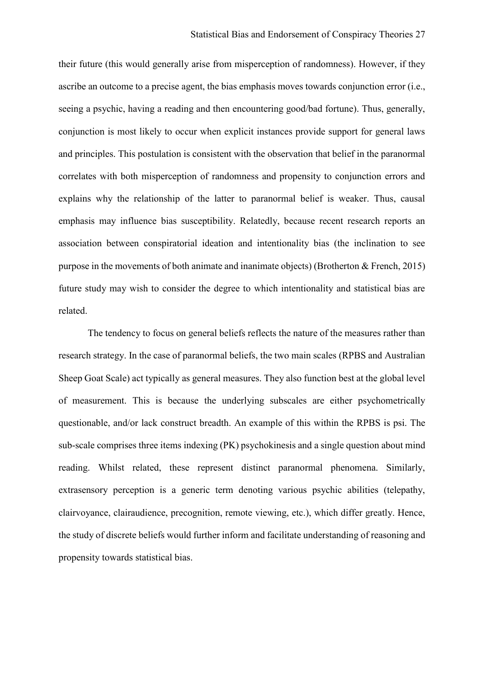their future (this would generally arise from misperception of randomness). However, if they ascribe an outcome to a precise agent, the bias emphasis moves towards conjunction error (i.e., seeing a psychic, having a reading and then encountering good/bad fortune). Thus, generally, conjunction is most likely to occur when explicit instances provide support for general laws and principles. This postulation is consistent with the observation that belief in the paranormal correlates with both misperception of randomness and propensity to conjunction errors and explains why the relationship of the latter to paranormal belief is weaker. Thus, causal emphasis may influence bias susceptibility. Relatedly, because recent research reports an association between conspiratorial ideation and intentionality bias (the inclination to see purpose in the movements of both animate and inanimate objects) (Brotherton & French, 2015) future study may wish to consider the degree to which intentionality and statistical bias are related.

The tendency to focus on general beliefs reflects the nature of the measures rather than research strategy. In the case of paranormal beliefs, the two main scales (RPBS and Australian Sheep Goat Scale) act typically as general measures. They also function best at the global level of measurement. This is because the underlying subscales are either psychometrically questionable, and/or lack construct breadth. An example of this within the RPBS is psi. The sub-scale comprises three items indexing (PK) psychokinesis and a single question about mind reading. Whilst related, these represent distinct paranormal phenomena. Similarly, extrasensory perception is a generic term denoting various psychic abilities (telepathy, clairvoyance, clairaudience, precognition, remote viewing, etc.), which differ greatly. Hence, the study of discrete beliefs would further inform and facilitate understanding of reasoning and propensity towards statistical bias.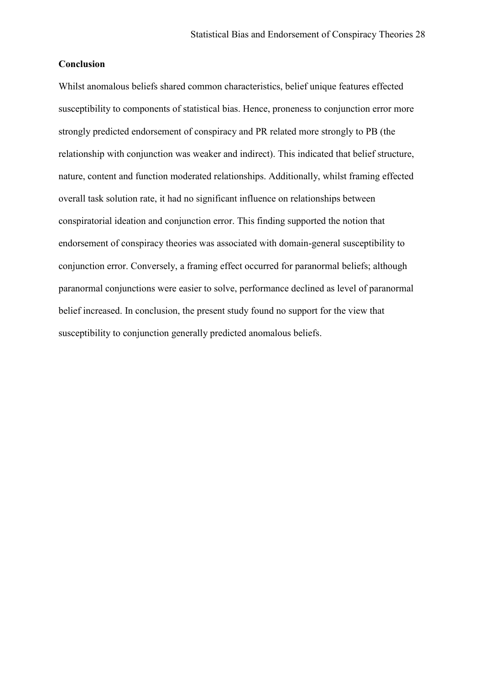## **Conclusion**

Whilst anomalous beliefs shared common characteristics, belief unique features effected susceptibility to components of statistical bias. Hence, proneness to conjunction error more strongly predicted endorsement of conspiracy and PR related more strongly to PB (the relationship with conjunction was weaker and indirect). This indicated that belief structure, nature, content and function moderated relationships. Additionally, whilst framing effected overall task solution rate, it had no significant influence on relationships between conspiratorial ideation and conjunction error. This finding supported the notion that endorsement of conspiracy theories was associated with domain-general susceptibility to conjunction error. Conversely, a framing effect occurred for paranormal beliefs; although paranormal conjunctions were easier to solve, performance declined as level of paranormal belief increased. In conclusion, the present study found no support for the view that susceptibility to conjunction generally predicted anomalous beliefs.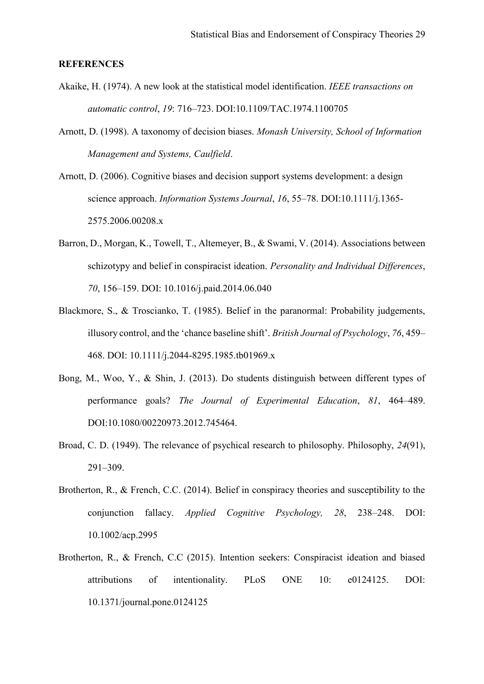#### **REFERENCES**

- Akaike, H. (1974). A new look at the statistical model identification. *IEEE transactions on automatic control*, *19*: 716–723. DOI:10.1109/TAC.1974.1100705
- Arnott, D. (1998). A taxonomy of decision biases. *Monash University, School of Information Management and Systems, Caulfield*.
- Arnott, D. (2006). Cognitive biases and decision support systems development: a design science approach. *Information Systems Journal*, *16*, 55–78. DOI:10.1111/j.1365- 2575.2006.00208.x
- Barron, D., Morgan, K., Towell, T., Altemeyer, B., & Swami, V. (2014). Associations between schizotypy and belief in conspiracist ideation. *Personality and Individual Differences*, *70*, 156–159. DOI: 10.1016/j.paid.2014.06.040
- Blackmore, S., & Troscianko, T. (1985). Belief in the paranormal: Probability judgements, illusory control, and the 'chance baseline shift'. *British Journal of Psychology*, *76*, 459– 468. DOI: 10.1111/j.2044-8295.1985.tb01969.x
- Bong, M., Woo, Y., & Shin, J. (2013). Do students distinguish between different types of performance goals? *The Journal of Experimental Education*, *81*, 464–489. DOI:10.1080/00220973.2012.745464.
- Broad, C. D. (1949). The relevance of psychical research to philosophy. Philosophy, *24*(91), 291–309.
- Brotherton, R., & French, C.C. (2014). Belief in conspiracy theories and susceptibility to the conjunction fallacy. *Applied Cognitive Psychology, 28*, 238–248. DOI: 10.1002/acp.2995
- Brotherton, R., & French, C.C (2015). Intention seekers: Conspiracist ideation and biased attributions of intentionality. PLoS ONE 10: e0124125. DOI: 10.1371/journal.pone.0124125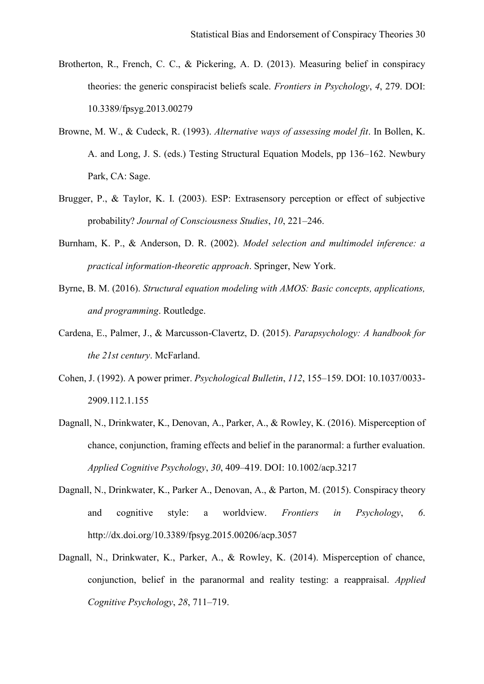- Brotherton, R., French, C. C., & Pickering, A. D. (2013). Measuring belief in conspiracy theories: the generic conspiracist beliefs scale. *Frontiers in Psychology*, *4*, 279. DOI: 10.3389/fpsyg.2013.00279
- Browne, M. W., & Cudeck, R. (1993). *Alternative ways of assessing model fit*. In Bollen, K. A. and Long, J. S. (eds.) Testing Structural Equation Models, pp 136–162. Newbury Park, CA: Sage.
- Brugger, P., & Taylor, K. I. (2003). ESP: Extrasensory perception or effect of subjective probability? *Journal of Consciousness Studies*, *10*, 221–246.
- Burnham, K. P., & Anderson, D. R. (2002). *Model selection and multimodel inference: a practical information-theoretic approach*. Springer, New York.
- Byrne, B. M. (2016). *Structural equation modeling with AMOS: Basic concepts, applications, and programming*. Routledge.
- Cardena, E., Palmer, J., & Marcusson-Clavertz, D. (2015). *Parapsychology: A handbook for the 21st century*. McFarland.
- Cohen, J. (1992). A power primer. *Psychological Bulletin*, *112*, 155–159. DOI: 10.1037/0033- 2909.112.1.155
- Dagnall, N., Drinkwater, K., Denovan, A., Parker, A., & Rowley, K. (2016). Misperception of chance, conjunction, framing effects and belief in the paranormal: a further evaluation. *Applied Cognitive Psychology*, *30*, 409–419. DOI: 10.1002/acp.3217
- Dagnall, N., Drinkwater, K., Parker A., Denovan, A., & Parton, M. (2015). Conspiracy theory and cognitive style: a worldview. *Frontiers in Psychology*, *6*. http://dx.doi.org/10.3389/fpsyg.2015.00206/acp.3057
- Dagnall, N., Drinkwater, K., Parker, A., & Rowley, K. (2014). Misperception of chance, conjunction, belief in the paranormal and reality testing: a reappraisal. *Applied Cognitive Psychology*, *28*, 711–719.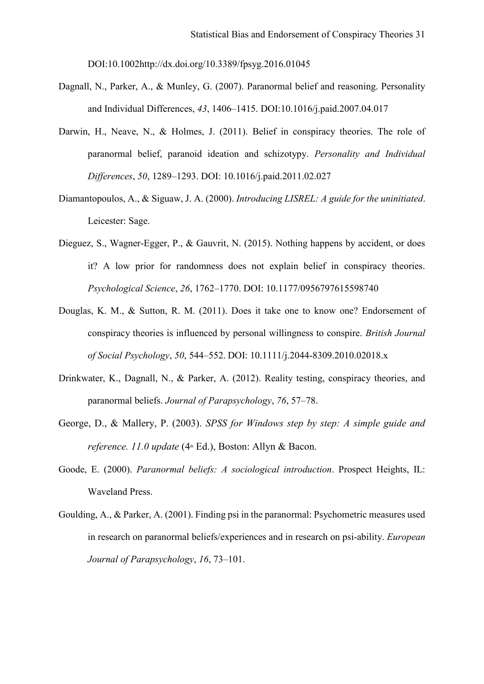DOI:10.1002http://dx.doi.org/10.3389/fpsyg.2016.01045

- Dagnall, N., Parker, A., & Munley, G. (2007). Paranormal belief and reasoning. Personality and Individual Differences, *43*, 1406–1415. DOI:10.1016/j.paid.2007.04.017
- Darwin, H., Neave, N., & Holmes, J. (2011). Belief in conspiracy theories. The role of paranormal belief, paranoid ideation and schizotypy. *Personality and Individual Differences*, *50*, 1289–1293. DOI: 10.1016/j.paid.2011.02.027
- Diamantopoulos, A., & Siguaw, J. A. (2000). *Introducing LISREL: A guide for the uninitiated*. Leicester: Sage.
- Dieguez, S., Wagner-Egger, P., & Gauvrit, N. (2015). Nothing happens by accident, or does it? A low prior for randomness does not explain belief in conspiracy theories. *Psychological Science*, *26*, 1762–1770. DOI: 10.1177/0956797615598740
- Douglas, K. M., & Sutton, R. M. (2011). Does it take one to know one? Endorsement of conspiracy theories is influenced by personal willingness to conspire. *British Journal of Social Psychology*, *50*, 544–552. DOI: 10.1111/j.2044-8309.2010.02018.x
- Drinkwater, K., Dagnall, N., & Parker, A. (2012). Reality testing, conspiracy theories, and paranormal beliefs. *Journal of Parapsychology*, *76*, 57–78.
- George, D., & Mallery, P. (2003). *SPSS for Windows step by step: A simple guide and reference. 11.0 update* (4<sup>th</sup> Ed.), Boston: Allyn & Bacon.
- Goode, E. (2000). *Paranormal beliefs: A sociological introduction*. Prospect Heights, IL: Waveland Press.
- Goulding, A., & Parker, A. (2001). Finding psi in the paranormal: Psychometric measures used in research on paranormal beliefs/experiences and in research on psi-ability. *European Journal of Parapsychology*, *16*, 73–101.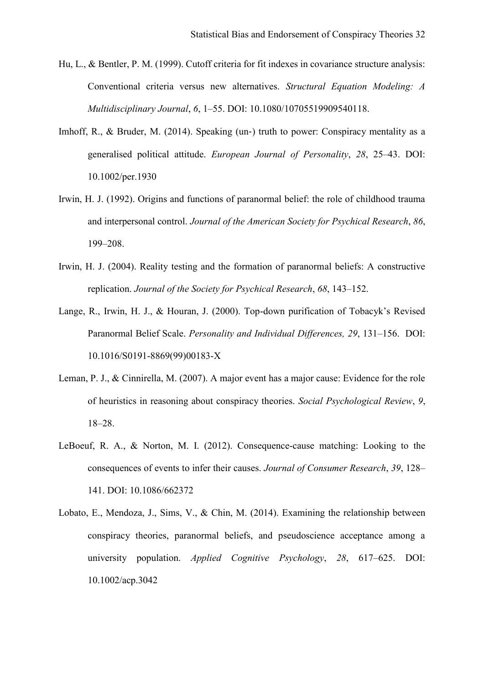- Hu, L., & Bentler, P. M. (1999). Cutoff criteria for fit indexes in covariance structure analysis: Conventional criteria versus new alternatives. *Structural Equation Modeling: A Multidisciplinary Journal*, *6*, 1–55. DOI: 10.1080/10705519909540118.
- Imhoff, R., & Bruder, M. (2014). Speaking (un-) truth to power: Conspiracy mentality as a generalised political attitude. *European Journal of Personality*, *28*, 25–43. DOI: 10.1002/per.1930
- Irwin, H. J. (1992). Origins and functions of paranormal belief: the role of childhood trauma and interpersonal control. *Journal of the American Society for Psychical Research*, *86*, 199–208.
- Irwin, H. J. (2004). Reality testing and the formation of paranormal beliefs: A constructive replication. *Journal of the Society for Psychical Research*, *68*, 143–152.
- Lange, R., Irwin, H. J., & Houran, J. (2000). Top-down purification of Tobacyk's Revised Paranormal Belief Scale. *Personality and Individual Differences, 29*, 131–156. DOI: 10.1016/S0191-8869(99)00183-X
- Leman, P. J., & Cinnirella, M. (2007). A major event has a major cause: Evidence for the role of heuristics in reasoning about conspiracy theories. *Social Psychological Review*, *9*, 18–28.
- LeBoeuf, R. A., & Norton, M. I. (2012). Consequence-cause matching: Looking to the consequences of events to infer their causes. *Journal of Consumer Research*, *39*, 128– 141. DOI: 10.1086/662372
- Lobato, E., Mendoza, J., Sims, V., & Chin, M. (2014). Examining the relationship between conspiracy theories, paranormal beliefs, and pseudoscience acceptance among a university population. *Applied Cognitive Psychology*, *28*, 617–625. DOI: 10.1002/acp.3042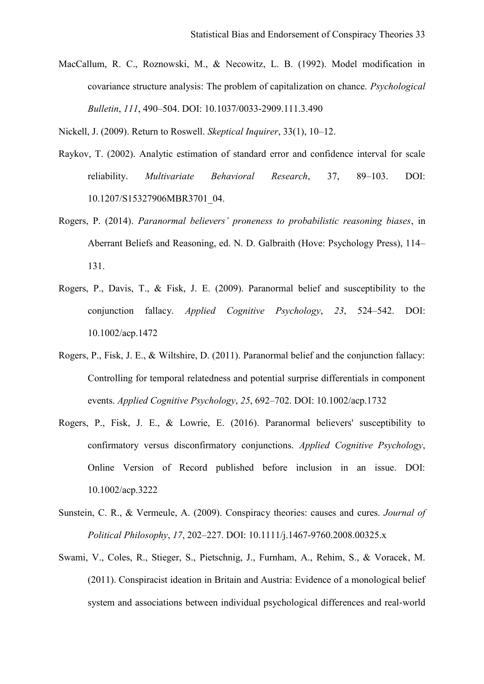MacCallum, R. C., Roznowski, M., & Necowitz, L. B. (1992). Model modification in covariance structure analysis: The problem of capitalization on chance. *Psychological Bulletin*, *111*, 490–504. DOI: 10.1037/0033-2909.111.3.490

Nickell, J. (2009). Return to Roswell. *Skeptical Inquirer*, 33(1), 10–12.

- Raykov, T. (2002). Analytic estimation of standard error and confidence interval for scale reliability. *Multivariate Behavioral Research*, 37, 89–103. DOI: 10.1207/S15327906MBR3701\_04.
- Rogers, P. (2014). *Paranormal believers' proneness to probabilistic reasoning biases*, in Aberrant Beliefs and Reasoning, ed. N. D. Galbraith (Hove: Psychology Press), 114– 131.
- Rogers, P., Davis, T., & Fisk, J. E. (2009). Paranormal belief and susceptibility to the conjunction fallacy. *Applied Cognitive Psychology*, *23*, 524–542. DOI: 10.1002/acp.1472
- Rogers, P., Fisk, J. E., & Wiltshire, D. (2011). Paranormal belief and the conjunction fallacy: Controlling for temporal relatedness and potential surprise differentials in component events. *Applied Cognitive Psychology*, *25*, 692–702. DOI: 10.1002/acp.1732
- Rogers, P., Fisk, J. E., & Lowrie, E. (2016). Paranormal believers' susceptibility to confirmatory versus disconfirmatory conjunctions. *Applied Cognitive Psychology*, Online Version of Record published before inclusion in an issue. DOI: 10.1002/acp.3222
- Sunstein, C. R., & Vermeule, A. (2009). Conspiracy theories: causes and cures. *Journal of Political Philosophy*, *17*, 202–227. DOI: 10.1111/j.1467-9760.2008.00325.x
- Swami, V., Coles, R., Stieger, S., Pietschnig, J., Furnham, A., Rehim, S., & Voracek, M. (2011). Conspiracist ideation in Britain and Austria: Evidence of a monological belief system and associations between individual psychological differences and real‐world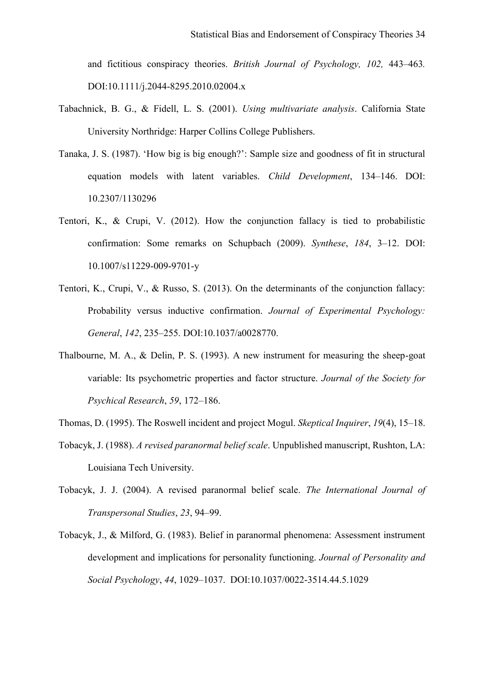and fictitious conspiracy theories. *British Journal of Psychology, 102,* 443–463*.* DOI:10.1111/j.2044-8295.2010.02004.x

- Tabachnick, B. G., & Fidell, L. S. (2001). *Using multivariate analysis*. California State University Northridge: Harper Collins College Publishers.
- Tanaka, J. S. (1987). 'How big is big enough?': Sample size and goodness of fit in structural equation models with latent variables. *Child Development*, 134–146. DOI: 10.2307/1130296
- Tentori, K., & Crupi, V. (2012). How the conjunction fallacy is tied to probabilistic confirmation: Some remarks on Schupbach (2009). *Synthese*, *184*, 3–12. DOI: 10.1007/s11229-009-9701-y
- Tentori, K., Crupi, V., & Russo, S. (2013). On the determinants of the conjunction fallacy: Probability versus inductive confirmation. *Journal of Experimental Psychology: General*, *142*, 235–255. DOI:10.1037/a0028770.
- Thalbourne, M. A., & Delin, P. S. (1993). A new instrument for measuring the sheep-goat variable: Its psychometric properties and factor structure. *Journal of the Society for Psychical Research*, *59*, 172–186.
- Thomas, D. (1995). The Roswell incident and project Mogul. *Skeptical Inquirer*, *19*(4), 15–18.
- Tobacyk, J. (1988). *A revised paranormal belief scale*. Unpublished manuscript, Rushton, LA: Louisiana Tech University.
- Tobacyk, J. J. (2004). A revised paranormal belief scale. *The International Journal of Transpersonal Studies*, *23*, 94–99.
- Tobacyk, J., & Milford, G. (1983). Belief in paranormal phenomena: Assessment instrument development and implications for personality functioning. *Journal of Personality and Social Psychology*, *44*, 1029–1037. DOI:10.1037/0022-3514.44.5.1029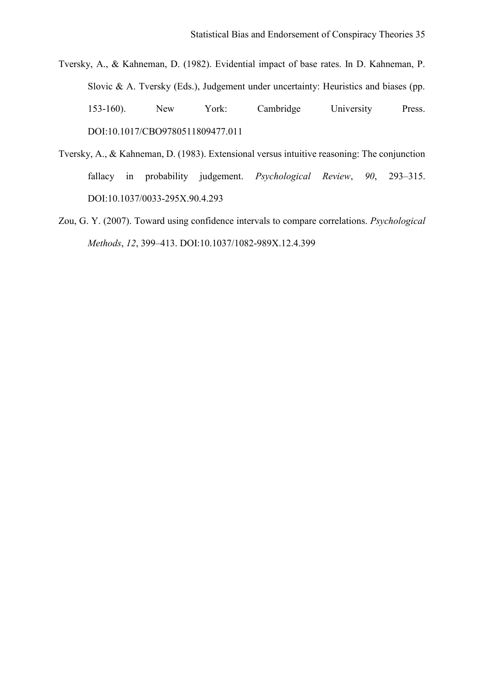Tversky, A., & Kahneman, D. (1982). Evidential impact of base rates. In D. Kahneman, P. Slovic & A. Tversky (Eds.), Judgement under uncertainty: Heuristics and biases (pp. 153-160). New York: Cambridge University Press. DOI:10.1017/CBO9780511809477.011

- Tversky, A., & Kahneman, D. (1983). Extensional versus intuitive reasoning: The conjunction fallacy in probability judgement. *Psychological Review*, *90*, 293–315. DOI:10.1037/0033-295X.90.4.293
- Zou, G. Y. (2007). Toward using confidence intervals to compare correlations. *Psychological Methods*, *12*, 399–413. DOI:10.1037/1082-989X.12.4.399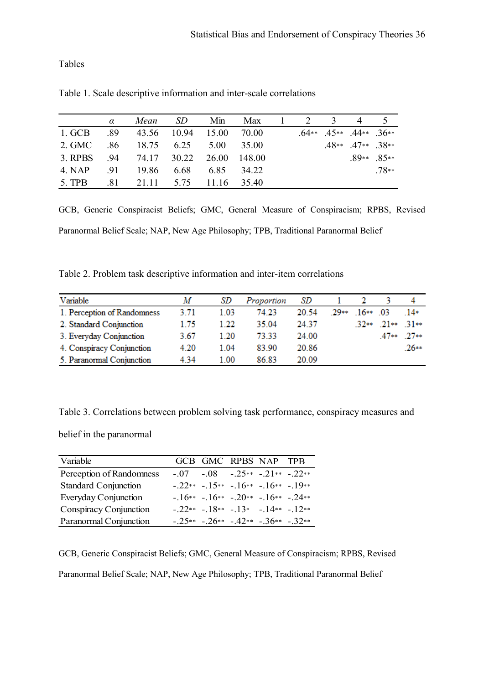Tables

|         | $\alpha$ | Mean        | SD    | Min   | Max         | $\mathbf{1}$ | 2 3 | 4                               | $5\overline{)}$ |
|---------|----------|-------------|-------|-------|-------------|--------------|-----|---------------------------------|-----------------|
| 1. GCB  | .89      | 43.56       | 10.94 | 15.00 | 70.00       |              |     | $.64**$ $.45**$ $.44**$ $.36**$ |                 |
| 2. GMC  | .86      | 18.75       | 6.25  | 5.00  | 35.00       |              |     | $.48**$ $.47**$ $.38**$         |                 |
| 3. RPBS | .94      | 74.17 30.22 |       | 26.00 | - 148 00    |              |     |                                 | $.89**$ $.85**$ |
| 4. NAP  | .91      | 19.86       | 6.68  | 685   | 34 22       |              |     |                                 | $.78**$         |
| 5. TPB  | .81      | 21.11 5.75  |       |       | 11.16 35.40 |              |     |                                 |                 |

Table 1. Scale descriptive information and inter-scale correlations

GCB, Generic Conspiracist Beliefs; GMC, General Measure of Conspiracism; RPBS, Revised Paranormal Belief Scale; NAP, New Age Philosophy; TPB, Traditional Paranormal Belief

Table 2. Problem task descriptive information and inter-item correlations

| Variable                    | M    | SD   | Proportion | SD    |        |           |             |        |
|-----------------------------|------|------|------------|-------|--------|-----------|-------------|--------|
| 1. Perception of Randomness | 3.71 | 1 03 | 74 23      | 20.54 | $70**$ | $16**$ 03 |             | $14*$  |
| 2. Standard Conjunction     | 1 75 | 1 22 | 35.04      | 24 37 |        | $32**$    | $21**$ 31** |        |
| 3. Everyday Conjunction     | 3.67 | 1.20 | 73.33      | 24.00 |        |           | $47**$      | $27**$ |
| 4. Conspiracy Conjunction   | 4.20 | 1.04 | 83.90      | 20.86 |        |           |             | $26**$ |
| 5. Paranormal Conjunction   | 4.34 | 1.00 | 86.83      | 20.09 |        |           |             |        |

Table 3. Correlations between problem solving task performance, conspiracy measures and

belief in the paranormal

| Variable                    |  | GCB GMC RPBS NAP TPB                     |  |
|-----------------------------|--|------------------------------------------|--|
| Perception of Randomness    |  | $-.07-.08-.25**-.21**-.22**$             |  |
| <b>Standard Conjunction</b> |  | $-.22** -15** -16** -16** -19**$         |  |
| <b>Everyday Conjunction</b> |  | $-16** -16** -20** -16** -24**$          |  |
| Conspiracy Conjunction      |  | $-.22** -18** -13* -14** -12**$          |  |
| Paranormal Conjunction      |  | $-.25** - .26** - .42** - .36** - .32**$ |  |

GCB, Generic Conspiracist Beliefs; GMC, General Measure of Conspiracism; RPBS, Revised Paranormal Belief Scale; NAP, New Age Philosophy; TPB, Traditional Paranormal Belief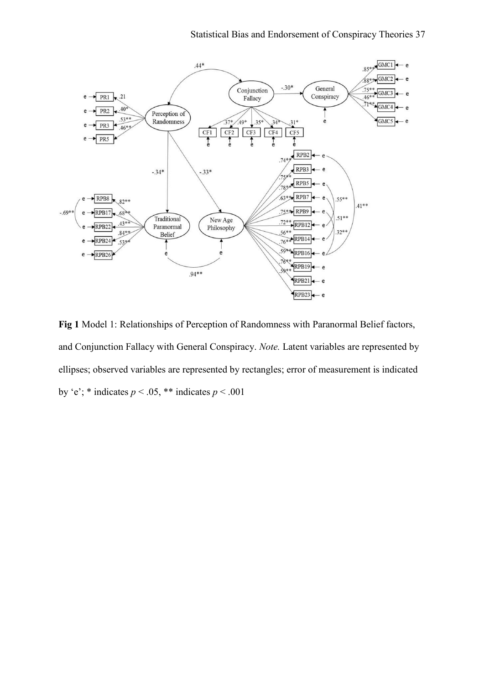

**Fig 1** Model 1: Relationships of Perception of Randomness with Paranormal Belief factors, and Conjunction Fallacy with General Conspiracy. *Note.* Latent variables are represented by ellipses; observed variables are represented by rectangles; error of measurement is indicated by 'e'; \* indicates  $p < .05$ , \*\* indicates  $p < .001$